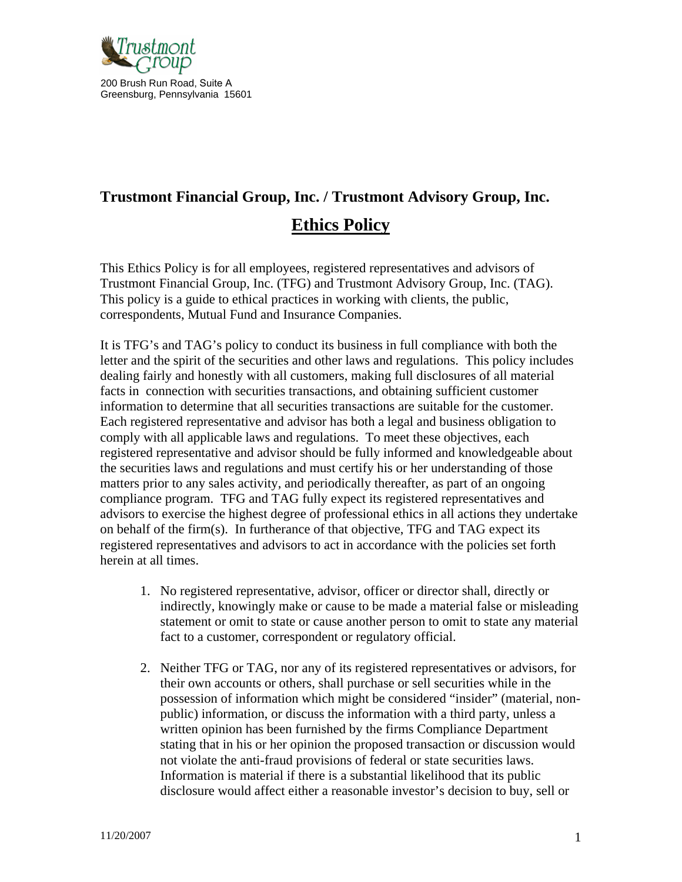

# **Trustmont Financial Group, Inc. / Trustmont Advisory Group, Inc. Ethics Policy**

This Ethics Policy is for all employees, registered representatives and advisors of Trustmont Financial Group, Inc. (TFG) and Trustmont Advisory Group, Inc. (TAG). This policy is a guide to ethical practices in working with clients, the public, correspondents, Mutual Fund and Insurance Companies.

It is TFG's and TAG's policy to conduct its business in full compliance with both the letter and the spirit of the securities and other laws and regulations. This policy includes dealing fairly and honestly with all customers, making full disclosures of all material facts in connection with securities transactions, and obtaining sufficient customer information to determine that all securities transactions are suitable for the customer. Each registered representative and advisor has both a legal and business obligation to comply with all applicable laws and regulations. To meet these objectives, each registered representative and advisor should be fully informed and knowledgeable about the securities laws and regulations and must certify his or her understanding of those matters prior to any sales activity, and periodically thereafter, as part of an ongoing compliance program. TFG and TAG fully expect its registered representatives and advisors to exercise the highest degree of professional ethics in all actions they undertake on behalf of the firm(s). In furtherance of that objective, TFG and TAG expect its registered representatives and advisors to act in accordance with the policies set forth herein at all times.

- 1. No registered representative, advisor, officer or director shall, directly or indirectly, knowingly make or cause to be made a material false or misleading statement or omit to state or cause another person to omit to state any material fact to a customer, correspondent or regulatory official.
- 2. Neither TFG or TAG, nor any of its registered representatives or advisors, for their own accounts or others, shall purchase or sell securities while in the possession of information which might be considered "insider" (material, nonpublic) information, or discuss the information with a third party, unless a written opinion has been furnished by the firms Compliance Department stating that in his or her opinion the proposed transaction or discussion would not violate the anti-fraud provisions of federal or state securities laws. Information is material if there is a substantial likelihood that its public disclosure would affect either a reasonable investor's decision to buy, sell or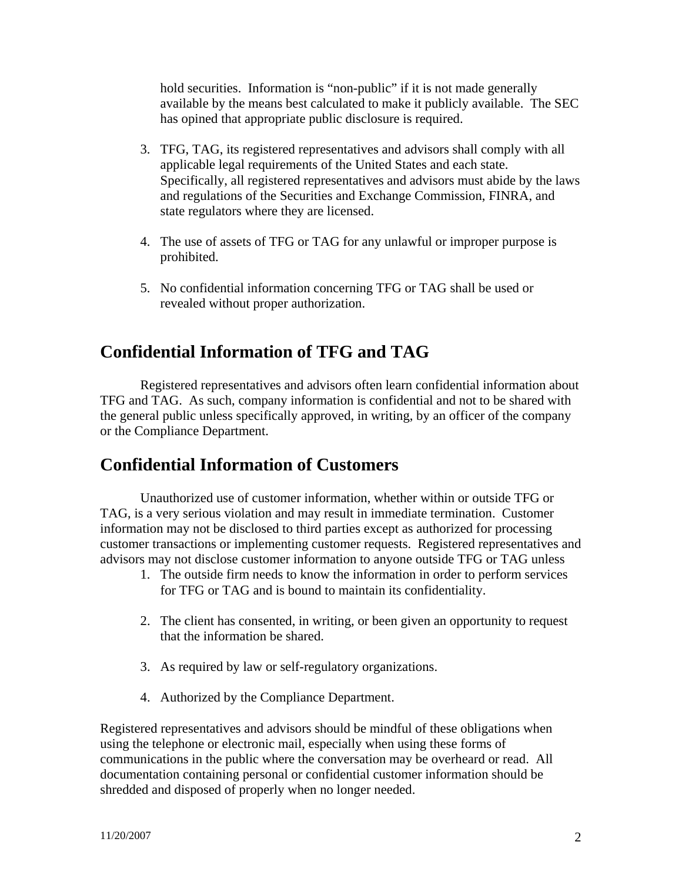hold securities. Information is "non-public" if it is not made generally available by the means best calculated to make it publicly available. The SEC has opined that appropriate public disclosure is required.

- 3. TFG, TAG, its registered representatives and advisors shall comply with all applicable legal requirements of the United States and each state. Specifically, all registered representatives and advisors must abide by the laws and regulations of the Securities and Exchange Commission, FINRA, and state regulators where they are licensed.
- 4. The use of assets of TFG or TAG for any unlawful or improper purpose is prohibited.
- 5. No confidential information concerning TFG or TAG shall be used or revealed without proper authorization.

# **Confidential Information of TFG and TAG**

Registered representatives and advisors often learn confidential information about TFG and TAG. As such, company information is confidential and not to be shared with the general public unless specifically approved, in writing, by an officer of the company or the Compliance Department.

### **Confidential Information of Customers**

Unauthorized use of customer information, whether within or outside TFG or TAG, is a very serious violation and may result in immediate termination. Customer information may not be disclosed to third parties except as authorized for processing customer transactions or implementing customer requests. Registered representatives and advisors may not disclose customer information to anyone outside TFG or TAG unless

- 1. The outside firm needs to know the information in order to perform services for TFG or TAG and is bound to maintain its confidentiality.
- 2. The client has consented, in writing, or been given an opportunity to request that the information be shared.
- 3. As required by law or self-regulatory organizations.
- 4. Authorized by the Compliance Department.

Registered representatives and advisors should be mindful of these obligations when using the telephone or electronic mail, especially when using these forms of communications in the public where the conversation may be overheard or read. All documentation containing personal or confidential customer information should be shredded and disposed of properly when no longer needed.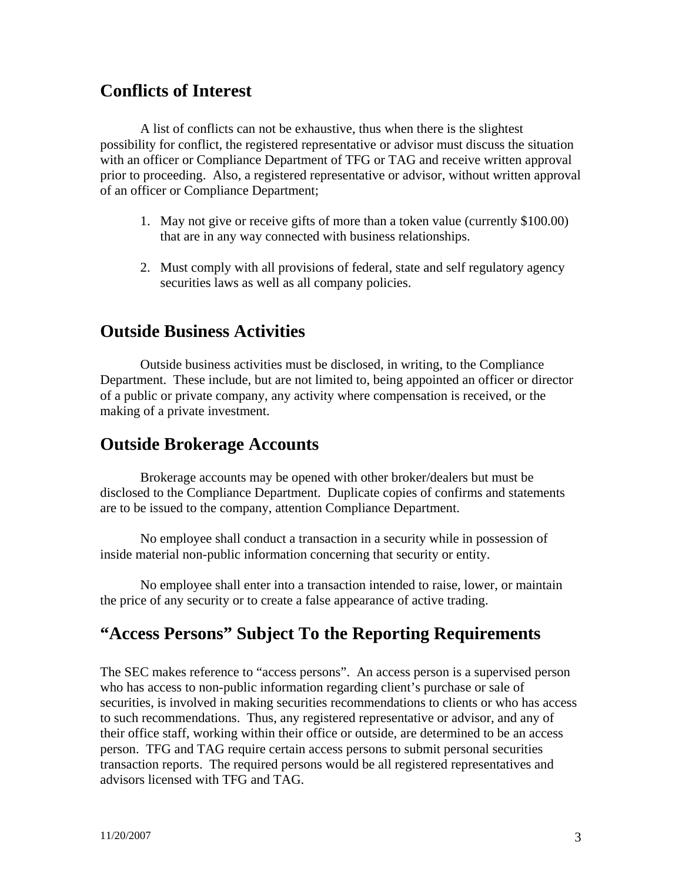#### **Conflicts of Interest**

A list of conflicts can not be exhaustive, thus when there is the slightest possibility for conflict, the registered representative or advisor must discuss the situation with an officer or Compliance Department of TFG or TAG and receive written approval prior to proceeding. Also, a registered representative or advisor, without written approval of an officer or Compliance Department;

- 1. May not give or receive gifts of more than a token value (currently \$100.00) that are in any way connected with business relationships.
- 2. Must comply with all provisions of federal, state and self regulatory agency securities laws as well as all company policies.

### **Outside Business Activities**

Outside business activities must be disclosed, in writing, to the Compliance Department. These include, but are not limited to, being appointed an officer or director of a public or private company, any activity where compensation is received, or the making of a private investment.

#### **Outside Brokerage Accounts**

Brokerage accounts may be opened with other broker/dealers but must be disclosed to the Compliance Department. Duplicate copies of confirms and statements are to be issued to the company, attention Compliance Department.

No employee shall conduct a transaction in a security while in possession of inside material non-public information concerning that security or entity.

No employee shall enter into a transaction intended to raise, lower, or maintain the price of any security or to create a false appearance of active trading.

### **"Access Persons" Subject To the Reporting Requirements**

The SEC makes reference to "access persons". An access person is a supervised person who has access to non-public information regarding client's purchase or sale of securities, is involved in making securities recommendations to clients or who has access to such recommendations. Thus, any registered representative or advisor, and any of their office staff, working within their office or outside, are determined to be an access person. TFG and TAG require certain access persons to submit personal securities transaction reports. The required persons would be all registered representatives and advisors licensed with TFG and TAG.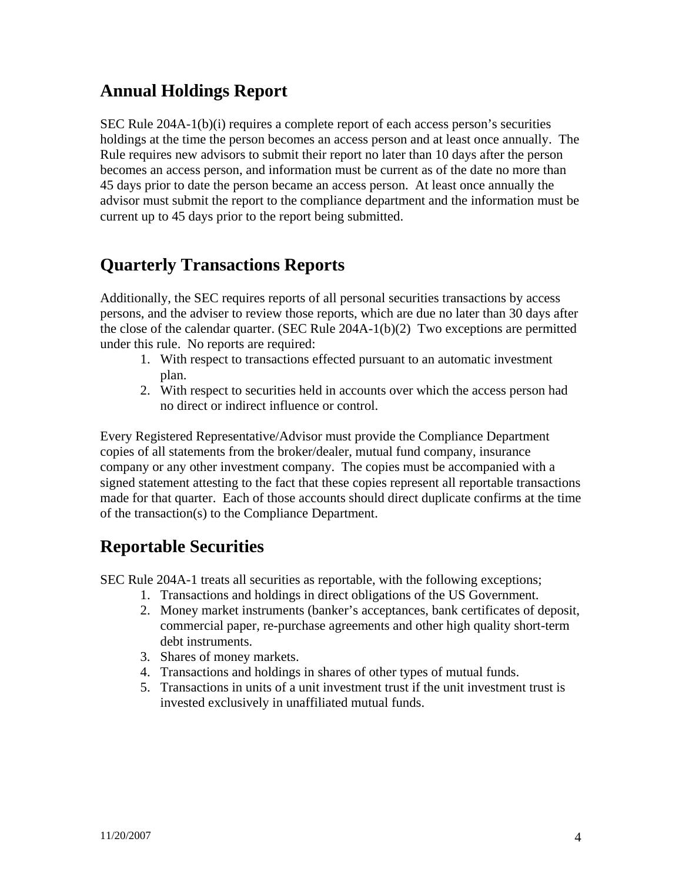# **Annual Holdings Report**

SEC Rule 204A-1(b)(i) requires a complete report of each access person's securities holdings at the time the person becomes an access person and at least once annually. The Rule requires new advisors to submit their report no later than 10 days after the person becomes an access person, and information must be current as of the date no more than 45 days prior to date the person became an access person. At least once annually the advisor must submit the report to the compliance department and the information must be current up to 45 days prior to the report being submitted.

### **Quarterly Transactions Reports**

Additionally, the SEC requires reports of all personal securities transactions by access persons, and the adviser to review those reports, which are due no later than 30 days after the close of the calendar quarter. (SEC Rule 204A-1(b)(2) Two exceptions are permitted under this rule. No reports are required:

- 1. With respect to transactions effected pursuant to an automatic investment plan.
- 2. With respect to securities held in accounts over which the access person had no direct or indirect influence or control.

Every Registered Representative/Advisor must provide the Compliance Department copies of all statements from the broker/dealer, mutual fund company, insurance company or any other investment company. The copies must be accompanied with a signed statement attesting to the fact that these copies represent all reportable transactions made for that quarter. Each of those accounts should direct duplicate confirms at the time of the transaction(s) to the Compliance Department.

# **Reportable Securities**

SEC Rule 204A-1 treats all securities as reportable, with the following exceptions;

- 1. Transactions and holdings in direct obligations of the US Government.
- 2. Money market instruments (banker's acceptances, bank certificates of deposit, commercial paper, re-purchase agreements and other high quality short-term debt instruments.
- 3. Shares of money markets.
- 4. Transactions and holdings in shares of other types of mutual funds.
- 5. Transactions in units of a unit investment trust if the unit investment trust is invested exclusively in unaffiliated mutual funds.